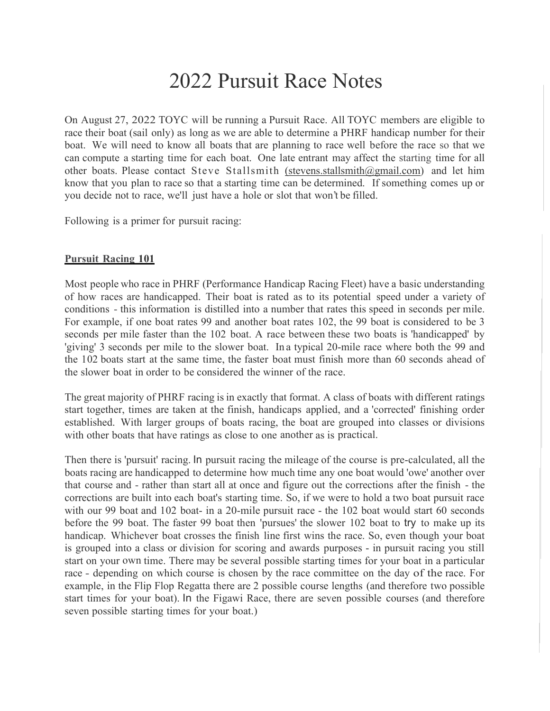## 2022 Pursuit Race Notes

On August 27, 2022 TOYC will be running a Pursuit Race. All TOYC members are eligible to race their boat (sail only) as long as we are able to determine a PHRF handicap number for their boat. We will need to know all boats that are planning to race well before the race so that we can compute a starting time for each boat. One late entrant may affect the starting time for all other boats. Please contact Steve Stallsmith (stevens.stallsmith@gmail.com) and let him know that you plan to race so that a starting time can be determined. If something comes up or you decide not to race, we'll just have a hole or slot that won't be filled.

Following is a primer for pursuit racing:

## Pursuit Racing 101

Most people who race in PHRF (Performance Handicap Racing Fleet) have a basic understanding of how races are handicapped. Their boat is rated as to its potential speed under a variety of conditions - this information is distilled into a number that rates this speed in seconds per mile. For example, if one boat rates 99 and another boat rates 102, the 99 boat is considered to be 3 seconds per mile faster than the 102 boat. A race between these two boats is 'handicapped' by 'giving' 3 seconds per mile to the slower boat. In a typical 20-mile race where both the 99 and the 102 boats start at the same time, the faster boat must finish more than 60 seconds ahead of the slower boat in order to be considered the winner of the race.

The great majority of PHRF racing is in exactly that format. A class of boats with different ratings start together, times are taken at the finish, handicaps applied, and a 'corrected' finishing order established. With larger groups of boats racing, the boat are grouped into classes or divisions with other boats that have ratings as close to one another as is practical.

Then there is 'pursuit' racing. In pursuit racing the mileage of the course is pre-calculated, all the boats racing are handicapped to determine how much time any one boat would 'owe' another over that course and - rather than start all at once and figure out the corrections after the finish - the corrections are built into each boat's starting time. So, if we were to hold a two boat pursuit race with our 99 boat and 102 boat- in a 20-mile pursuit race - the 102 boat would start 60 seconds before the 99 boat. The faster 99 boat then 'pursues' the slower 102 boat to try to make up its handicap. Whichever boat crosses the finish line first wins the race. So, even though your boat is grouped into a class or division for scoring and awards purposes - in pursuit racing you still start on your own time. There may be several possible starting times for your boat in a particular race - depending on which course is chosen by the race committee on the day of the race. For example, in the Flip Flop Regatta there are 2 possible course lengths (and therefore two possible start times for your boat). In the Figawi Race, there are seven possible courses (and therefore seven possible starting times for your boat.)